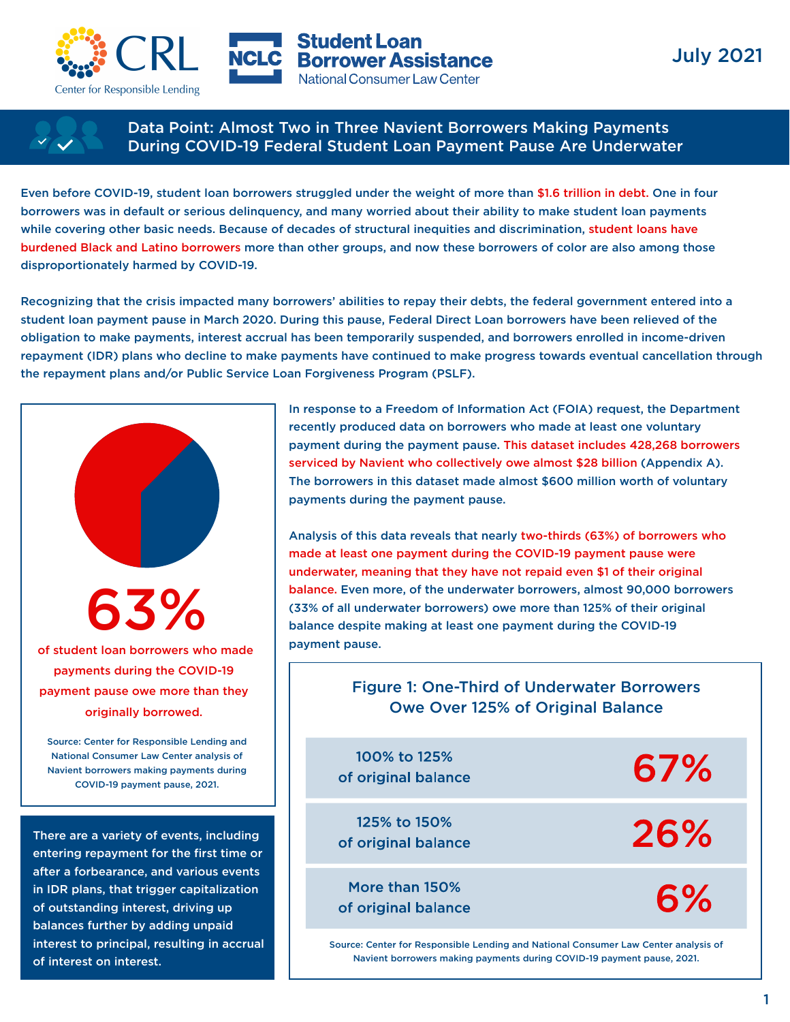



**Student Loan NCLC** Borrower Assistance National Consumer Law Center



Data Point: Almost Two in Three Navient Borrowers Making Payments During COVID-19 Federal Student Loan Payment Pause Are Underwater

Even before COVID-19, student loan borrowers struggled under the weight of more than \$1.6 trillion in debt. One in four borrowers was in default or serious delinquency, and many worried about their ability to make student loan payments while covering other basic needs. Because of decades of structural inequities and discrimination, student loans have burdened Black and Latino borrowers more than other groups, and now these borrowers of color are also among those disproportionately harmed by COVID-19.

Recognizing that the crisis impacted many borrowers' abilities to repay their debts, the federal government entered into a student loan payment pause in March 2020. During this pause, Federal Direct Loan borrowers have been relieved of the obligation to make payments, interest accrual has been temporarily suspended, and borrowers enrolled in income-driven repayment (IDR) plans who decline to make payments have continued to make progress towards eventual cancellation through the repayment plans and/or Public Service Loan Forgiveness Program (PSLF).



entering repayment for the first time or after a forbearance, and various events in IDR plans, that trigger capitalization of outstanding interest, driving up balances further by adding unpaid interest to principal, resulting in accrual of interest on interest.

In response to a Freedom of Information Act (FOIA) request, the Department recently produced data on borrowers who made at least one voluntary payment during the payment pause. This dataset includes 428,268 borrowers serviced by Navient who collectively owe almost \$28 billion (Appendix A). The borrowers in this dataset made almost \$600 million worth of voluntary payments during the payment pause.

Analysis of this data reveals that nearly two-thirds (63%) of borrowers who made at least one payment during the COVID-19 payment pause were underwater, meaning that they have not repaid even \$1 of their original balance. Even more, of the underwater borrowers, almost 90,000 borrowers (33% of all underwater borrowers) owe more than 125% of their original balance despite making at least one payment during the COVID-19 payment pause.

## Figure 1: One-Third of Underwater Borrowers Owe Over 125% of Original Balance

100% to 125% 67% of original balance 125% to 150% 26% of original balance More than 150% 6% of original balance

Source: Center for Responsible Lending and National Consumer Law Center analysis of Navient borrowers making payments during COVID-19 payment pause, 2021.